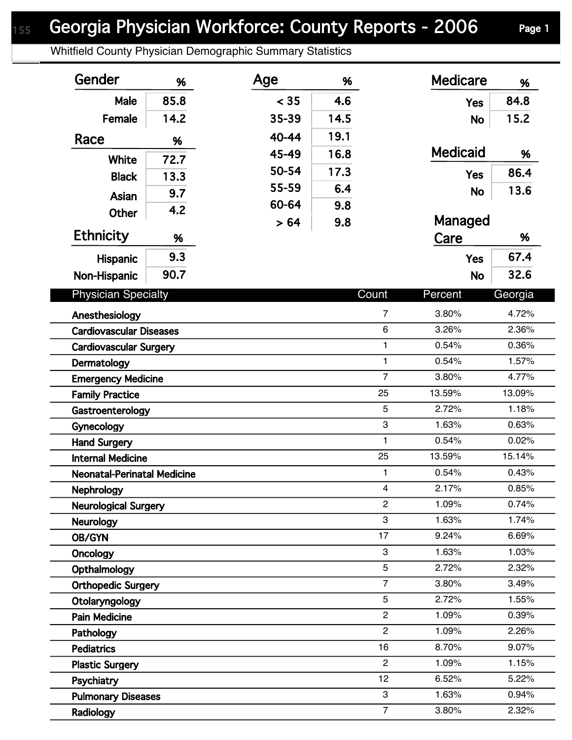## Georgia Physician Workforce: County Reports - 2006 Page 1

Whitfield County Physician Demographic Summary Statistics

| Gender                             | %    | Age   | %    |                | <b>Medicare</b> | %       |
|------------------------------------|------|-------|------|----------------|-----------------|---------|
| Male                               | 85.8 | < 35  | 4.6  |                | <b>Yes</b>      | 84.8    |
| Female                             | 14.2 | 35-39 | 14.5 |                | <b>No</b>       | 15.2    |
| Race                               |      | 40-44 | 19.1 |                |                 |         |
|                                    | %    | 45-49 | 16.8 |                | <b>Medicaid</b> | %       |
| White                              | 72.7 | 50-54 | 17.3 |                |                 | 86.4    |
| <b>Black</b>                       | 13.3 | 55-59 | 6.4  |                | <b>Yes</b>      |         |
| Asian                              | 9.7  | 60-64 | 9.8  |                | <b>No</b>       | 13.6    |
| <b>Other</b>                       | 4.2  |       |      |                | Managed         |         |
| <b>Ethnicity</b>                   | %    | > 64  | 9.8  |                | Care            | %       |
|                                    | 9.3  |       |      |                | <b>Yes</b>      | 67.4    |
| Hispanic                           | 90.7 |       |      |                |                 | 32.6    |
| Non-Hispanic                       |      |       |      |                | <b>No</b>       |         |
| <b>Physician Specialty</b>         |      |       |      | Count          | Percent         | Georgia |
| Anesthesiology                     |      |       |      | $\overline{7}$ | 3.80%           | 4.72%   |
| <b>Cardiovascular Diseases</b>     |      |       |      | $\,6\,$        | 3.26%           | 2.36%   |
| <b>Cardiovascular Surgery</b>      |      |       |      | $\mathbf{1}$   | 0.54%           | 0.36%   |
| Dermatology                        |      |       |      | $\mathbf{1}$   | 0.54%           | 1.57%   |
| <b>Emergency Medicine</b>          |      |       |      | $\overline{7}$ | 3.80%           | 4.77%   |
| <b>Family Practice</b>             |      |       |      | 25             | 13.59%          | 13.09%  |
| Gastroenterology                   |      |       |      | $\overline{5}$ | 2.72%           | 1.18%   |
| Gynecology                         |      |       |      | 3              | 1.63%           | 0.63%   |
| <b>Hand Surgery</b>                |      |       |      | $\mathbf{1}$   | 0.54%           | 0.02%   |
| <b>Internal Medicine</b>           |      |       |      | 25             | 13.59%          | 15.14%  |
| <b>Neonatal-Perinatal Medicine</b> |      |       |      | $\mathbf{1}$   | 0.54%           | 0.43%   |
| Nephrology                         |      |       |      | $\overline{4}$ | 2.17%           | 0.85%   |
| <b>Neurological Surgery</b>        |      |       |      | $\mathbf{2}$   | 1.09%           | 0.74%   |
| <b>Neurology</b>                   |      |       |      | 3              | 1.63%           | 1.74%   |
| OB/GYN                             |      |       |      | 17             | 9.24%           | 6.69%   |
| Oncology                           |      |       |      | 3              | 1.63%           | 1.03%   |
| Opthalmology                       |      |       |      | 5              | 2.72%           | 2.32%   |
| <b>Orthopedic Surgery</b>          |      |       |      | $\overline{7}$ | 3.80%           | 3.49%   |
| Otolaryngology                     |      |       |      | 5              | 2.72%           | 1.55%   |
| <b>Pain Medicine</b>               |      |       |      | $\overline{2}$ | 1.09%           | 0.39%   |
| Pathology                          |      |       |      | $\overline{2}$ | 1.09%           | 2.26%   |
| <b>Pediatrics</b>                  |      |       |      | 16             | 8.70%           | 9.07%   |
| <b>Plastic Surgery</b>             |      |       |      | $\overline{2}$ | 1.09%           | 1.15%   |
| Psychiatry                         |      |       |      | 12             | 6.52%           | 5.22%   |
| <b>Pulmonary Diseases</b>          |      |       |      | 3              | 1.63%           | 0.94%   |
| Radiology                          |      |       |      | $\overline{7}$ | 3.80%           | 2.32%   |